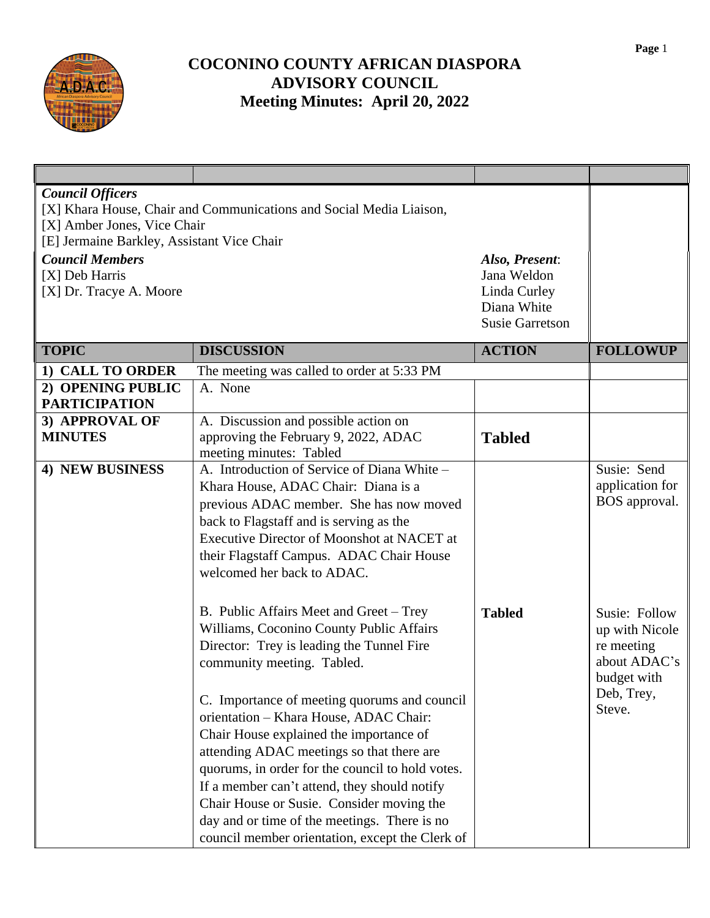

## **COCONINO COUNTY AFRICAN DIASPORA ADVISORY COUNCIL Meeting Minutes: April 20, 2022**

| <b>Council Officers</b><br>[X] Amber Jones, Vice Chair<br>[E] Jermaine Barkley, Assistant Vice Chair<br><b>Council Members</b><br>[X] Deb Harris<br>[X] Dr. Tracye A. Moore | [X] Khara House, Chair and Communications and Social Media Liaison,                                                                                                                                                                                                                                                                                                                                                                                                                                                                                                                                  | Also, Present:<br>Jana Weldon<br>Linda Curley<br>Diana White |                                                                                                      |
|-----------------------------------------------------------------------------------------------------------------------------------------------------------------------------|------------------------------------------------------------------------------------------------------------------------------------------------------------------------------------------------------------------------------------------------------------------------------------------------------------------------------------------------------------------------------------------------------------------------------------------------------------------------------------------------------------------------------------------------------------------------------------------------------|--------------------------------------------------------------|------------------------------------------------------------------------------------------------------|
|                                                                                                                                                                             |                                                                                                                                                                                                                                                                                                                                                                                                                                                                                                                                                                                                      | <b>Susie Garretson</b>                                       |                                                                                                      |
| <b>TOPIC</b>                                                                                                                                                                | <b>DISCUSSION</b>                                                                                                                                                                                                                                                                                                                                                                                                                                                                                                                                                                                    | <b>ACTION</b>                                                | <b>FOLLOWUP</b>                                                                                      |
| 1) CALL TO ORDER                                                                                                                                                            | The meeting was called to order at 5:33 PM                                                                                                                                                                                                                                                                                                                                                                                                                                                                                                                                                           |                                                              |                                                                                                      |
| 2) OPENING PUBLIC                                                                                                                                                           | A. None                                                                                                                                                                                                                                                                                                                                                                                                                                                                                                                                                                                              |                                                              |                                                                                                      |
| <b>PARTICIPATION</b>                                                                                                                                                        |                                                                                                                                                                                                                                                                                                                                                                                                                                                                                                                                                                                                      |                                                              |                                                                                                      |
| 3) APPROVAL OF<br><b>MINUTES</b>                                                                                                                                            | A. Discussion and possible action on<br>approving the February 9, 2022, ADAC<br>meeting minutes: Tabled                                                                                                                                                                                                                                                                                                                                                                                                                                                                                              | <b>Tabled</b>                                                |                                                                                                      |
| 4) NEW BUSINESS                                                                                                                                                             | A. Introduction of Service of Diana White -<br>Khara House, ADAC Chair: Diana is a<br>previous ADAC member. She has now moved<br>back to Flagstaff and is serving as the<br><b>Executive Director of Moonshot at NACET at</b><br>their Flagstaff Campus. ADAC Chair House<br>welcomed her back to ADAC.                                                                                                                                                                                                                                                                                              |                                                              | Susie: Send<br>application for<br>BOS approval.                                                      |
|                                                                                                                                                                             | B. Public Affairs Meet and Greet – Trey<br>Williams, Coconino County Public Affairs<br>Director: Trey is leading the Tunnel Fire<br>community meeting. Tabled.<br>C. Importance of meeting quorums and council<br>orientation - Khara House, ADAC Chair:<br>Chair House explained the importance of<br>attending ADAC meetings so that there are<br>quorums, in order for the council to hold votes.<br>If a member can't attend, they should notify<br>Chair House or Susie. Consider moving the<br>day and or time of the meetings. There is no<br>council member orientation, except the Clerk of | <b>Tabled</b>                                                | Susie: Follow<br>up with Nicole<br>re meeting<br>about ADAC's<br>budget with<br>Deb, Trey,<br>Steve. |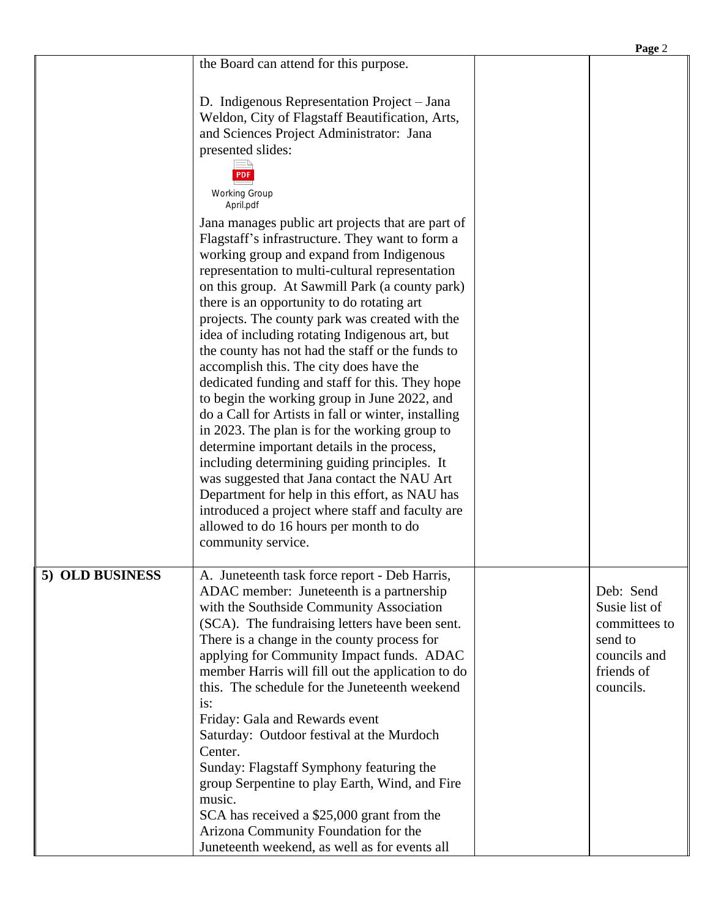|                 |                                                                                                                                                                                                                                                                                                                                                                                                                                                                                                                                                                                                                                                                                                                                                                                                                                                                                                                                                                                                                                                                                                                                                                                                                                                             | Page 2                                                                                            |
|-----------------|-------------------------------------------------------------------------------------------------------------------------------------------------------------------------------------------------------------------------------------------------------------------------------------------------------------------------------------------------------------------------------------------------------------------------------------------------------------------------------------------------------------------------------------------------------------------------------------------------------------------------------------------------------------------------------------------------------------------------------------------------------------------------------------------------------------------------------------------------------------------------------------------------------------------------------------------------------------------------------------------------------------------------------------------------------------------------------------------------------------------------------------------------------------------------------------------------------------------------------------------------------------|---------------------------------------------------------------------------------------------------|
|                 | the Board can attend for this purpose.                                                                                                                                                                                                                                                                                                                                                                                                                                                                                                                                                                                                                                                                                                                                                                                                                                                                                                                                                                                                                                                                                                                                                                                                                      |                                                                                                   |
|                 | D. Indigenous Representation Project - Jana<br>Weldon, City of Flagstaff Beautification, Arts,<br>and Sciences Project Administrator: Jana<br>presented slides:<br><b>PDF</b><br><b>Working Group</b><br>April.pdf<br>Jana manages public art projects that are part of<br>Flagstaff's infrastructure. They want to form a<br>working group and expand from Indigenous<br>representation to multi-cultural representation<br>on this group. At Sawmill Park (a county park)<br>there is an opportunity to do rotating art<br>projects. The county park was created with the<br>idea of including rotating Indigenous art, but<br>the county has not had the staff or the funds to<br>accomplish this. The city does have the<br>dedicated funding and staff for this. They hope<br>to begin the working group in June 2022, and<br>do a Call for Artists in fall or winter, installing<br>in 2023. The plan is for the working group to<br>determine important details in the process,<br>including determining guiding principles. It<br>was suggested that Jana contact the NAU Art<br>Department for help in this effort, as NAU has<br>introduced a project where staff and faculty are<br>allowed to do 16 hours per month to do<br>community service. |                                                                                                   |
| 5) OLD BUSINESS | A. Juneteenth task force report - Deb Harris,<br>ADAC member: Juneteenth is a partnership<br>with the Southside Community Association<br>(SCA). The fundraising letters have been sent.<br>There is a change in the county process for<br>applying for Community Impact funds. ADAC<br>member Harris will fill out the application to do<br>this. The schedule for the Juneteenth weekend<br>is:<br>Friday: Gala and Rewards event<br>Saturday: Outdoor festival at the Murdoch<br>Center.<br>Sunday: Flagstaff Symphony featuring the<br>group Serpentine to play Earth, Wind, and Fire<br>music.<br>SCA has received a \$25,000 grant from the<br>Arizona Community Foundation for the<br>Juneteenth weekend, as well as for events all                                                                                                                                                                                                                                                                                                                                                                                                                                                                                                                   | Deb: Send<br>Susie list of<br>committees to<br>send to<br>councils and<br>friends of<br>councils. |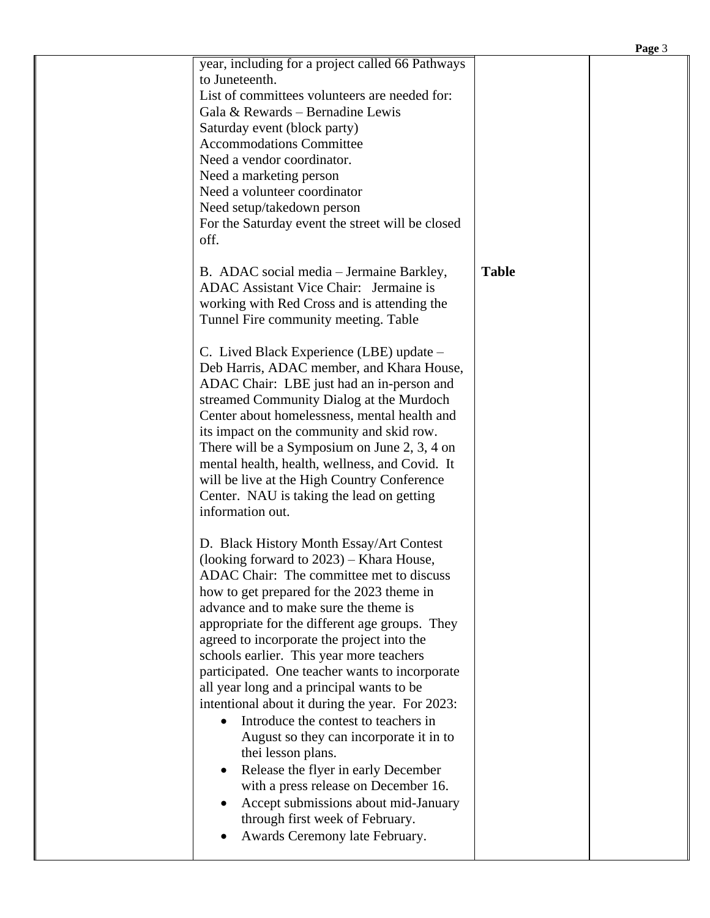|                                                                                                                                                                                                                                                                                                                                                                                                                                                                                                                                                                                                                                                                                                                                  |              | Page 3 |
|----------------------------------------------------------------------------------------------------------------------------------------------------------------------------------------------------------------------------------------------------------------------------------------------------------------------------------------------------------------------------------------------------------------------------------------------------------------------------------------------------------------------------------------------------------------------------------------------------------------------------------------------------------------------------------------------------------------------------------|--------------|--------|
| year, including for a project called 66 Pathways<br>to Juneteenth.<br>List of committees volunteers are needed for:<br>Gala & Rewards - Bernadine Lewis<br>Saturday event (block party)<br><b>Accommodations Committee</b><br>Need a vendor coordinator.<br>Need a marketing person<br>Need a volunteer coordinator<br>Need setup/takedown person<br>For the Saturday event the street will be closed<br>off.<br>B. ADAC social media - Jermaine Barkley,<br>ADAC Assistant Vice Chair: Jermaine is<br>working with Red Cross and is attending the<br>Tunnel Fire community meeting. Table<br>C. Lived Black Experience (LBE) update -<br>Deb Harris, ADAC member, and Khara House,<br>ADAC Chair: LBE just had an in-person and | <b>Table</b> |        |
| streamed Community Dialog at the Murdoch<br>Center about homelessness, mental health and<br>its impact on the community and skid row.<br>There will be a Symposium on June 2, 3, 4 on<br>mental health, health, wellness, and Covid. It<br>will be live at the High Country Conference<br>Center. NAU is taking the lead on getting<br>information out.                                                                                                                                                                                                                                                                                                                                                                          |              |        |
| D. Black History Month Essay/Art Contest<br>(looking forward to $2023$ ) – Khara House,<br>ADAC Chair: The committee met to discuss<br>how to get prepared for the 2023 theme in<br>advance and to make sure the theme is<br>appropriate for the different age groups. They<br>agreed to incorporate the project into the<br>schools earlier. This year more teachers<br>participated. One teacher wants to incorporate<br>all year long and a principal wants to be<br>intentional about it during the year. For 2023:<br>Introduce the contest to teachers in<br>August so they can incorporate it in to<br>thei lesson plans.<br>Release the flyer in early December                                                          |              |        |
| with a press release on December 16.<br>Accept submissions about mid-January<br>through first week of February.<br>Awards Ceremony late February.                                                                                                                                                                                                                                                                                                                                                                                                                                                                                                                                                                                |              |        |